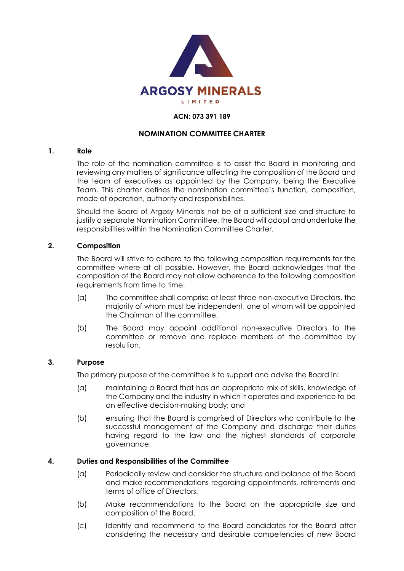

#### **ACN: 073 391 189**

#### **NOMINATION COMMITTEE CHARTER**

#### **1. Role**

The role of the nomination committee is to assist the Board in monitoring and reviewing any matters of significance affecting the composition of the Board and the team of executives as appointed by the Company, being the Executive Team. This charter defines the nomination committee's function, composition, mode of operation, authority and responsibilities.

Should the Board of Argosy Minerals not be of a sufficient size and structure to justify a separate Nomination Committee, the Board will adopt and undertake the responsibilities within the Nomination Committee Charter.

#### **2. Composition**

The Board will strive to adhere to the following composition requirements for the committee where at all possible. However, the Board acknowledges that the composition of the Board may not allow adherence to the following composition requirements from time to time.

- (a) The committee shall comprise at least three non-executive Directors, the majority of whom must be independent, one of whom will be appointed the Chairman of the committee.
- (b) The Board may appoint additional non-executive Directors to the committee or remove and replace members of the committee by resolution.

#### **3. Purpose**

The primary purpose of the committee is to support and advise the Board in:

- (a) maintaining a Board that has an appropriate mix of skills, knowledge of the Company and the industry in which it operates and experience to be an effective decision-making body; and
- (b) ensuring that the Board is comprised of Directors who contribute to the successful management of the Company and discharge their duties having regard to the law and the highest standards of corporate governance.

#### **4. Duties and Responsibilities of the Committee**

- (a) Periodically review and consider the structure and balance of the Board and make recommendations regarding appointments, retirements and terms of office of Directors.
- (b) Make recommendations to the Board on the appropriate size and composition of the Board.
- (c) Identify and recommend to the Board candidates for the Board after considering the necessary and desirable competencies of new Board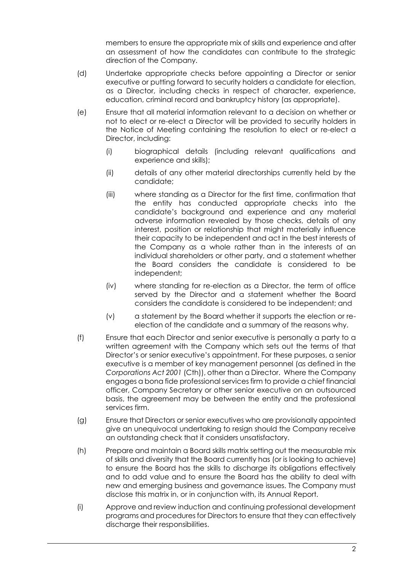members to ensure the appropriate mix of skills and experience and after an assessment of how the candidates can contribute to the strategic direction of the Company.

- (d) Undertake appropriate checks before appointing a Director or senior executive or putting forward to security holders a candidate for election, as a Director, including checks in respect of character, experience, education, criminal record and bankruptcy history (as appropriate).
- (e) Ensure that all material information relevant to a decision on whether or not to elect or re-elect a Director will be provided to security holders in the Notice of Meeting containing the resolution to elect or re-elect a Director, including:
	- (i) biographical details (including relevant qualifications and experience and skills);
	- (ii) details of any other material directorships currently held by the candidate;
	- (iii) where standing as a Director for the first time, confirmation that the entity has conducted appropriate checks into the candidate's background and experience and any material adverse information revealed by those checks, details of any interest, position or relationship that might materially influence their capacity to be independent and act in the best interests of the Company as a whole rather than in the interests of an individual shareholders or other party, and a statement whether the Board considers the candidate is considered to be independent;
	- (iv) where standing for re-election as a Director, the term of office served by the Director and a statement whether the Board considers the candidate is considered to be independent; and
	- (v) a statement by the Board whether it supports the election or reelection of the candidate and a summary of the reasons why.
- (f) Ensure that each Director and senior executive is personally a party to a written agreement with the Company which sets out the terms of that Director's or senior executive's appointment. For these purposes, a senior executive is a member of key management personnel (as defined in the *Corporations Act 2001* (Cth)), other than a Director. Where the Company engages a bona fide professional services firm to provide a chief financial officer, Company Secretary or other senior executive on an outsourced basis, the agreement may be between the entity and the professional services firm.
- (g) Ensure that Directors or senior executives who are provisionally appointed give an unequivocal undertaking to resign should the Company receive an outstanding check that it considers unsatisfactory.
- (h) Prepare and maintain a Board skills matrix setting out the measurable mix of skills and diversity that the Board currently has (or is looking to achieve) to ensure the Board has the skills to discharge its obligations effectively and to add value and to ensure the Board has the ability to deal with new and emerging business and governance issues. The Company must disclose this matrix in, or in conjunction with, its Annual Report.
- (i) Approve and review induction and continuing professional development programs and procedures for Directors to ensure that they can effectively discharge their responsibilities.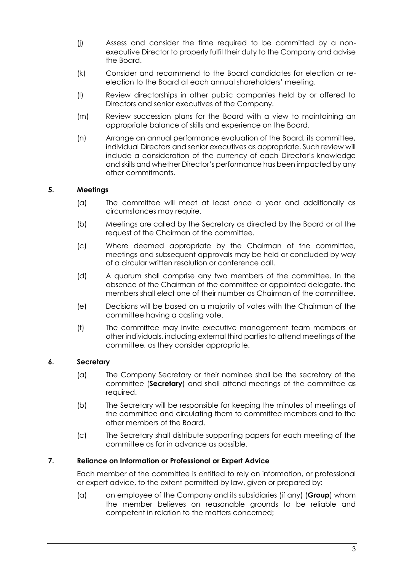- (j) Assess and consider the time required to be committed by a nonexecutive Director to properly fulfil their duty to the Company and advise the Board.
- (k) Consider and recommend to the Board candidates for election or reelection to the Board at each annual shareholders' meeting.
- (l) Review directorships in other public companies held by or offered to Directors and senior executives of the Company.
- (m) Review succession plans for the Board with a view to maintaining an appropriate balance of skills and experience on the Board.
- (n) Arrange an annual performance evaluation of the Board, its committee, individual Directors and senior executives as appropriate. Such review will include a consideration of the currency of each Director's knowledge and skills and whether Director's performance has been impacted by any other commitments.

## **5. Meetings**

- (a) The committee will meet at least once a year and additionally as circumstances may require.
- (b) Meetings are called by the Secretary as directed by the Board or at the request of the Chairman of the committee.
- (c) Where deemed appropriate by the Chairman of the committee, meetings and subsequent approvals may be held or concluded by way of a circular written resolution or conference call.
- (d) A quorum shall comprise any two members of the committee. In the absence of the Chairman of the committee or appointed delegate, the members shall elect one of their number as Chairman of the committee.
- (e) Decisions will be based on a majority of votes with the Chairman of the committee having a casting vote.
- (f) The committee may invite executive management team members or other individuals, including external third parties to attend meetings of the committee, as they consider appropriate.

## **6. Secretary**

- (a) The Company Secretary or their nominee shall be the secretary of the committee (**Secretary**) and shall attend meetings of the committee as required.
- (b) The Secretary will be responsible for keeping the minutes of meetings of the committee and circulating them to committee members and to the other members of the Board.
- (c) The Secretary shall distribute supporting papers for each meeting of the committee as far in advance as possible.

### **7. Reliance on Information or Professional or Expert Advice**

Each member of the committee is entitled to rely on information, or professional or expert advice, to the extent permitted by law, given or prepared by:

(a) an employee of the Company and its subsidiaries (if any) (**Group**) whom the member believes on reasonable grounds to be reliable and competent in relation to the matters concerned;